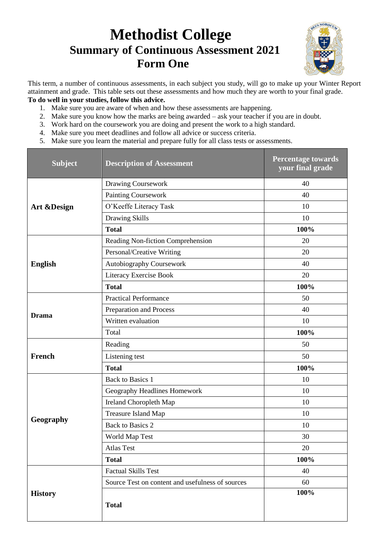## **Methodist College Summary of Continuous Assessment 2021 Form One**



This term, a number of continuous assessments, in each subject you study, will go to make up your Winter Report attainment and grade. This table sets out these assessments and how much they are worth to your final grade. **To do well in your studies, follow this advice.**

- 1. Make sure you are aware of when and how these assessments are happening.
- 2. Make sure you know how the marks are being awarded ask your teacher if you are in doubt.
- 3. Work hard on the coursework you are doing and present the work to a high standard.
- 4. Make sure you meet deadlines and follow all advice or success criteria.
- 5. Make sure you learn the material and prepare fully for all class tests or assessments.

| <b>Subject</b>         | <b>Description of Assessment</b>                 | <b>Percentage towards</b><br>your final grade |  |
|------------------------|--------------------------------------------------|-----------------------------------------------|--|
| <b>Art &amp;Design</b> | <b>Drawing Coursework</b>                        | 40                                            |  |
|                        | <b>Painting Coursework</b>                       | 40                                            |  |
|                        | O'Keeffe Literacy Task                           | 10                                            |  |
|                        | Drawing Skills                                   | 10                                            |  |
|                        | <b>Total</b>                                     | 100%                                          |  |
|                        | Reading Non-fiction Comprehension                | 20                                            |  |
|                        | Personal/Creative Writing                        | 20                                            |  |
| <b>English</b>         | <b>Autobiography Coursework</b>                  | 40                                            |  |
|                        | Literacy Exercise Book                           | 20                                            |  |
|                        | <b>Total</b>                                     | 100%                                          |  |
|                        | <b>Practical Performance</b>                     | 50                                            |  |
| <b>Drama</b>           | Preparation and Process                          | 40                                            |  |
|                        | Written evaluation                               | 10                                            |  |
|                        | Total                                            | 100%                                          |  |
|                        | Reading                                          | 50                                            |  |
| French                 | Listening test                                   | 50                                            |  |
|                        | <b>Total</b>                                     | 100%                                          |  |
|                        | <b>Back to Basics 1</b>                          | 10                                            |  |
|                        | Geography Headlines Homework                     | 10                                            |  |
|                        | Ireland Choropleth Map                           | 10                                            |  |
|                        | Treasure Island Map                              | 10                                            |  |
| Geography              | <b>Back to Basics 2</b>                          | 10                                            |  |
|                        | World Map Test                                   | 30                                            |  |
|                        | <b>Atlas Test</b>                                | 20                                            |  |
|                        | <b>Total</b>                                     | 100%                                          |  |
| <b>History</b>         | <b>Factual Skills Test</b>                       | 40                                            |  |
|                        | Source Test on content and usefulness of sources | 60                                            |  |
|                        | <b>Total</b>                                     | 100%                                          |  |